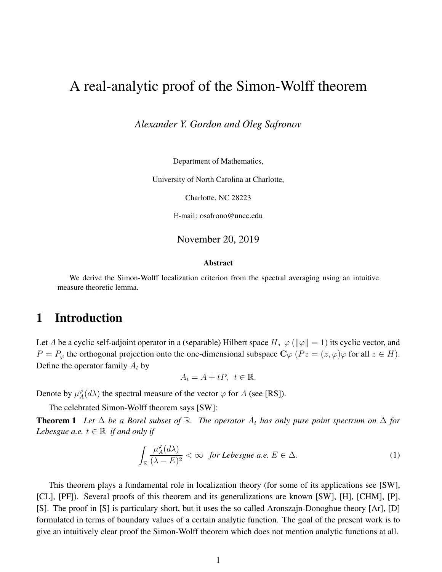# A real-analytic proof of the Simon-Wolff theorem

*Alexander Y. Gordon and Oleg Safronov*

Department of Mathematics,

University of North Carolina at Charlotte,

Charlotte, NC 28223

E-mail: osafrono@uncc.edu

November 20, 2019

#### Abstract

We derive the Simon-Wolff localization criterion from the spectral averaging using an intuitive measure theoretic lemma.

### 1 Introduction

Let A be a cyclic self-adjoint operator in a (separable) Hilbert space H,  $\varphi$  ( $\|\varphi\| = 1$ ) its cyclic vector, and  $P = P_{\varphi}$  the orthogonal projection onto the one-dimensional subspace  $C\varphi$   $(Pz = (z, \varphi)\varphi$  for all  $z \in H$ ). Define the operator family  $A_t$  by

 $A_t = A + tP, t \in \mathbb{R}.$ 

Denote by  $\mu_A^{\varphi}$  $\mathcal{L}_A^{\varphi}(d\lambda)$  the spectral measure of the vector  $\varphi$  for A (see [RS]).

The celebrated Simon-Wolff theorem says [SW]:

**Theorem 1** *Let*  $\Delta$  *be a Borel subset of* R. *The operator*  $A_t$  *has only pure point spectrum on*  $\Delta$  *for Lebesgue a.e.*  $t \in \mathbb{R}$  *if and only if* 

$$
\int_{\mathbb{R}} \frac{\mu_A^{\varphi}(d\lambda)}{(\lambda - E)^2} < \infty \quad \text{for Lebesgue a.e. } E \in \Delta. \tag{1}
$$

This theorem plays a fundamental role in localization theory (for some of its applications see [SW], [CL], [PF]). Several proofs of this theorem and its generalizations are known [SW], [H], [CHM], [P], [S]. The proof in [S] is particulary short, but it uses the so called Aronszajn-Donoghue theory [Ar], [D] formulated in terms of boundary values of a certain analytic function. The goal of the present work is to give an intuitively clear proof the Simon-Wolff theorem which does not mention analytic functions at all.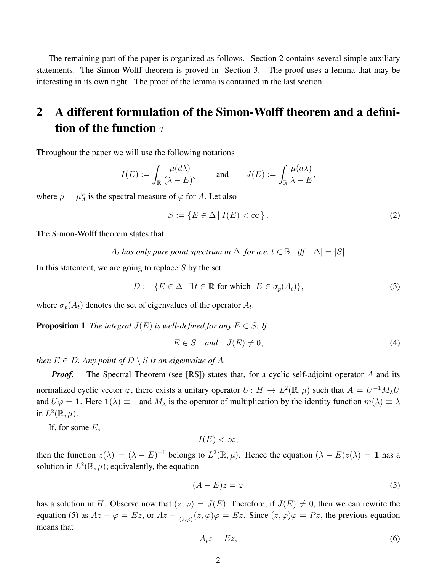The remaining part of the paper is organized as follows. Section 2 contains several simple auxiliary statements. The Simon-Wolff theorem is proved in Section 3. The proof uses a lemma that may be interesting in its own right. The proof of the lemma is contained in the last section.

## 2 A different formulation of the Simon-Wolff theorem and a definition of the function  $\tau$

Throughout the paper we will use the following notations

$$
I(E) := \int_{\mathbb{R}} \frac{\mu(d\lambda)}{(\lambda - E)^2} \quad \text{and} \quad J(E) := \int_{\mathbb{R}} \frac{\mu(d\lambda)}{\lambda - E},
$$

where  $\mu = \mu_A^{\varphi}$  $_{A}^{\varphi}$  is the spectral measure of  $\varphi$  for A. Let also

$$
S := \{ E \in \Delta \mid I(E) < \infty \} \,. \tag{2}
$$

The Simon-Wolff theorem states that

A<sub>t</sub> has only pure point spectrum in  $\Delta$  for a.e.  $t \in \mathbb{R}$  iff  $|\Delta| = |S|$ .

In this statement, we are going to replace  $S$  by the set

$$
D := \{ E \in \Delta \mid \exists t \in \mathbb{R} \text{ for which } E \in \sigma_p(A_t) \},\tag{3}
$$

where  $\sigma_p(A_t)$  denotes the set of eigenvalues of the operator  $A_t$ .

**Proposition 1** *The integral*  $J(E)$  *is well-defined for any*  $E \in S$ *. If* 

$$
E \in S \quad and \quad J(E) \neq 0,\tag{4}
$$

*then*  $E \in D$ *. Any point of*  $D \setminus S$  *is an eigenvalue of* A*.* 

*Proof.* The Spectral Theorem (see [RS]) states that, for a cyclic self-adjoint operator A and its normalized cyclic vector  $\varphi$ , there exists a unitary operator  $U: H \to L^2(\mathbb{R}, \mu)$  such that  $A = U^{-1}M_\lambda U$ and  $U\varphi = 1$ . Here  $1(\lambda) \equiv 1$  and  $M_{\lambda}$  is the operator of multiplication by the identity function  $m(\lambda) \equiv \lambda$ in  $L^2(\mathbb{R}, \mu)$ .

If, for some  $E$ ,

 $I(E) < \infty$ ,

then the function  $z(\lambda) = (\lambda - E)^{-1}$  belongs to  $L^2(\mathbb{R}, \mu)$ . Hence the equation  $(\lambda - E)z(\lambda) = 1$  has a solution in  $L^2(\mathbb{R}, \mu)$ ; equivalently, the equation

$$
(A - E)z = \varphi \tag{5}
$$

has a solution in H. Observe now that  $(z, \varphi) = J(E)$ . Therefore, if  $J(E) \neq 0$ , then we can rewrite the equation (5) as  $Az - \varphi = Ez$ , or  $Az - \frac{1}{\sqrt{z}}$  $\frac{1}{(z,\varphi)}(z,\varphi)\varphi = Ez$ . Since  $(z,\varphi)\varphi = Pz$ , the previous equation means that

$$
A_t z = E z,\t\t(6)
$$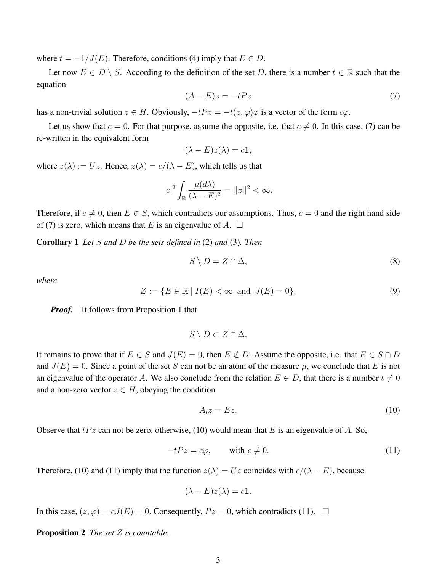where  $t = -1/J(E)$ . Therefore, conditions (4) imply that  $E \in D$ .

Let now  $E \in D \setminus S$ . According to the definition of the set D, there is a number  $t \in \mathbb{R}$  such that the equation

$$
(A - E)z = -tPz \tag{7}
$$

has a non-trivial solution  $z \in H$ . Obviously,  $-tPz = -t(z, \varphi)\varphi$  is a vector of the form  $c\varphi$ .

Let us show that  $c = 0$ . For that purpose, assume the opposite, i.e. that  $c \neq 0$ . In this case, (7) can be re-written in the equivalent form

$$
(\lambda - E)z(\lambda) = c\mathbf{1},
$$

where  $z(\lambda) := Uz$ . Hence,  $z(\lambda) = c/(\lambda - E)$ , which tells us that

$$
|c|^2 \int_{\mathbb{R}} \frac{\mu(d\lambda)}{(\lambda - E)^2} = ||z||^2 < \infty.
$$

Therefore, if  $c \neq 0$ , then  $E \in S$ , which contradicts our assumptions. Thus,  $c = 0$  and the right hand side of (7) is zero, which means that E is an eigenvalue of A.  $\Box$ 

Corollary 1 *Let* S *and* D *be the sets defined in* (2) *and* (3)*. Then*

$$
S \setminus D = Z \cap \Delta,\tag{8}
$$

*where*

$$
Z := \{ E \in \mathbb{R} \mid I(E) < \infty \text{ and } J(E) = 0 \}. \tag{9}
$$

*Proof.* It follows from Proposition 1 that

$$
S \setminus D \subset Z \cap \Delta.
$$

It remains to prove that if  $E \in S$  and  $J(E) = 0$ , then  $E \notin D$ . Assume the opposite, i.e. that  $E \in S \cap D$ and  $J(E) = 0$ . Since a point of the set S can not be an atom of the measure  $\mu$ , we conclude that E is not an eigenvalue of the operator A. We also conclude from the relation  $E \in D$ , that there is a number  $t \neq 0$ and a non-zero vector  $z \in H$ , obeying the condition

$$
A_t z = E z. \tag{10}
$$

Observe that  $tPz$  can not be zero, otherwise, (10) would mean that E is an eigenvalue of A. So,

$$
-tPz = c\varphi, \qquad \text{with } c \neq 0. \tag{11}
$$

Therefore, (10) and (11) imply that the function  $z(\lambda) = Uz$  coincides with  $c/(\lambda - E)$ , because

$$
(\lambda - E)z(\lambda) = c\mathbf{1}.
$$

In this case,  $(z, \varphi) = cJ(E) = 0$ . Consequently,  $Pz = 0$ , which contradicts (11).  $\Box$ 

Proposition 2 *The set* Z *is countable.*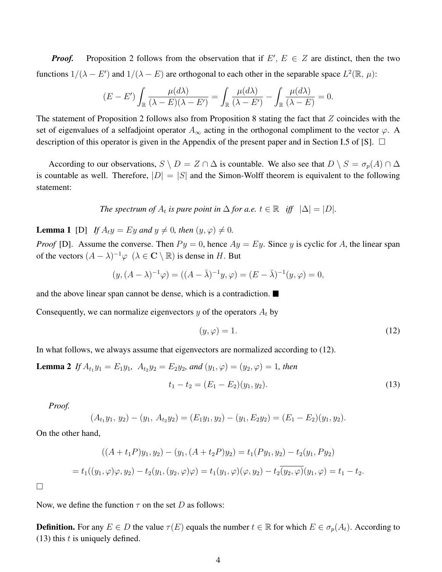*Proof.* Proposition 2 follows from the observation that if  $E'$ ,  $E \in \mathbb{Z}$  are distinct, then the two functions  $1/(\lambda - E')$  and  $1/(\lambda - E)$  are orthogonal to each other in the separable space  $L^2(\mathbb{R}, \mu)$ :

$$
(E - E') \int_{\mathbb{R}} \frac{\mu(d\lambda)}{(\lambda - E)(\lambda - E')} = \int_{\mathbb{R}} \frac{\mu(d\lambda)}{(\lambda - E')} - \int_{\mathbb{R}} \frac{\mu(d\lambda)}{(\lambda - E)} = 0.
$$

The statement of Proposition 2 follows also from Proposition 8 stating the fact that  $Z$  coincides with the set of eigenvalues of a selfadjoint operator  $A_{\infty}$  acting in the orthogonal compliment to the vector  $\varphi$ . A description of this operator is given in the Appendix of the present paper and in Section I.5 of [S].  $\Box$ 

According to our observations,  $S \setminus D = Z \cap \Delta$  is countable. We also see that  $D \setminus S = \sigma_p(A) \cap \Delta$ is countable as well. Therefore,  $|D| = |S|$  and the Simon-Wolff theorem is equivalent to the following statement:

The spectrum of 
$$
A_t
$$
 is pure point in  $\Delta$  for a.e.  $t \in \mathbb{R}$  iff  $|\Delta| = |D|$ .

**Lemma 1** [D] *If*  $A_t y = Ey$  *and*  $y \neq 0$ *, then*  $(y, \varphi) \neq 0$ *.* 

*Proof* [D]. Assume the converse. Then  $Py = 0$ , hence  $Ay = Ey$ . Since y is cyclic for A, the linear span of the vectors  $(A - \lambda)^{-1} \varphi$   $(\lambda \in \mathbb{C} \setminus \mathbb{R})$  is dense in H. But

$$
(y, (A - \lambda)^{-1} \varphi) = ((A - \bar{\lambda})^{-1} y, \varphi) = (E - \bar{\lambda})^{-1} (y, \varphi) = 0,
$$

and the above linear span cannot be dense, which is a contradiction.

Consequently, we can normalize eigenvectors y of the operators  $A_t$  by

$$
(y, \varphi) = 1. \tag{12}
$$

In what follows, we always assume that eigenvectors are normalized according to (12).

**Lemma 2** If 
$$
A_{t_1}y_1 = E_1y_1
$$
,  $A_{t_2}y_2 = E_2y_2$ , and  $(y_1, \varphi) = (y_2, \varphi) = 1$ , then  

$$
t_1 - t_2 = (E_1 - E_2)(y_1, y_2).
$$
 (13)

*Proof.*

$$
(A_{t_1}y_1, y_2)-(y_1, A_{t_2}y_2)=(E_1y_1, y_2)-(y_1, E_2y_2)=(E_1-E_2)(y_1, y_2).
$$

On the other hand,

$$
((A + t_1 P)y_1, y_2) - (y_1, (A + t_2 P)y_2) = t_1 (Py_1, y_2) - t_2 (y_1, Py_2)
$$
  
=  $t_1((y_1, \varphi)\varphi, y_2) - t_2(y_1, (y_2, \varphi)\varphi) = t_1(y_1, \varphi)(\varphi, y_2) - t_2(y_2, \varphi)(y_1, \varphi) = t_1 - t_2.$ 

 $\Box$ 

Now, we define the function  $\tau$  on the set D as follows:

**Definition.** For any  $E \in D$  the value  $\tau(E)$  equals the number  $t \in \mathbb{R}$  for which  $E \in \sigma_p(A_t)$ . According to  $(13)$  this t is uniquely defined.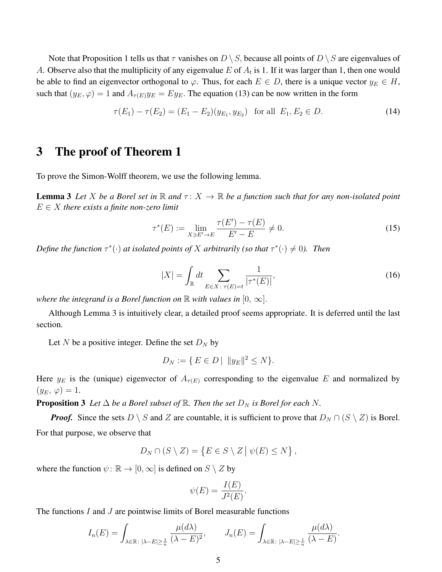Note that Proposition 1 tells us that  $\tau$  vanishes on  $D \setminus S$ , because all points of  $D \setminus S$  are eigenvalues of A. Observe also that the multiplicity of any eigenvalue E of  $A_t$  is 1. If it was larger than 1, then one would be able to find an eigenvector orthogonal to  $\varphi$ . Thus, for each  $E \in D$ , there is a unique vector  $y_E \in H$ , such that  $(y_E, \varphi) = 1$  and  $A_{\tau(E)}y_E = Ey_E$ . The equation (13) can be now written in the form

$$
\tau(E_1) - \tau(E_2) = (E_1 - E_2)(y_{E_1}, y_{E_2}) \text{ for all } E_1, E_2 \in D. \tag{14}
$$

### 3 The proof of Theorem 1

To prove the Simon-Wolff theorem, we use the following lemma.

**Lemma 3** Let X be a Borel set in  $\mathbb R$  and  $\tau: X \to \mathbb R$  be a function such that for any non-isolated point  $E \in X$  *there exists a finite non-zero limit* 

$$
\tau^*(E) := \lim_{X \ni E' \to E} \frac{\tau(E') - \tau(E)}{E' - E} \neq 0.
$$
\n(15)

*Define the function*  $\tau^*(\cdot)$  *at isolated points of* X *arbitrarily (so that*  $\tau^*(\cdot) \neq 0$ ). Then

$$
|X| = \int_{\mathbb{R}} dt \sum_{E \in X: \tau(E) = t} \frac{1}{|\tau^*(E)|},
$$
\n(16)

*where the integrand is a Borel function on*  $\mathbb R$  *with values in*  $[0, \infty]$ .

Although Lemma 3 is intuitively clear, a detailed proof seems appropriate. It is deferred until the last section.

Let N be a positive integer. Define the set  $D_N$  by

$$
D_N := \{ E \in D \mid ||y_E||^2 \le N \}.
$$

Here  $y_E$  is the (unique) eigenvector of  $A_{\tau(E)}$  corresponding to the eigenvalue E and normalized by  $(y_E, \varphi) = 1.$ 

**Proposition 3** Let  $\Delta$  be a Borel subset of  $\mathbb{R}$ . Then the set  $D_N$  is Borel for each N.

*Proof.* Since the sets  $D \setminus S$  and Z are countable, it is sufficient to prove that  $D_N \cap (S \setminus Z)$  is Borel. For that purpose, we observe that

$$
D_N \cap (S \setminus Z) = \{ E \in S \setminus Z \mid \psi(E) \leq N \},\
$$

where the function  $\psi : \mathbb{R} \to [0, \infty]$  is defined on  $S \setminus Z$  by

$$
\psi(E) = \frac{I(E)}{J^2(E)}.
$$

The functions  $I$  and  $J$  are pointwise limits of Borel measurable functions

$$
I_n(E) = \int_{\lambda \in \mathbb{R} \colon |\lambda - E| \ge \frac{1}{n}} \frac{\mu(d\lambda)}{(\lambda - E)^2}, \qquad J_n(E) = \int_{\lambda \in \mathbb{R} \colon |\lambda - E| \ge \frac{1}{n}} \frac{\mu(d\lambda)}{(\lambda - E)}.
$$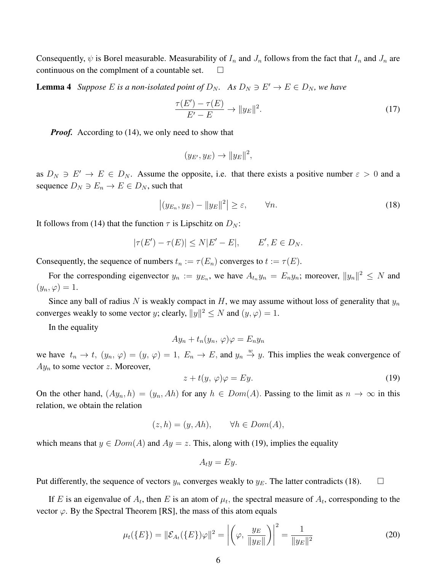Consequently,  $\psi$  is Borel measurable. Measurability of  $I_n$  and  $J_n$  follows from the fact that  $I_n$  and  $J_n$  are continuous on the complment of a countable set.

**Lemma 4** Suppose E is a non-isolated point of  $D_N$ . As  $D_N \ni E' \to E \in D_N$ , we have

$$
\frac{\tau(E') - \tau(E)}{E' - E} \to \|y_E\|^2. \tag{17}
$$

*Proof.* According to (14), we only need to show that

$$
(y_{E'}, y_E) \rightarrow ||y_E||^2,
$$

as  $D_N \ni E' \to E \in D_N$ . Assume the opposite, i.e. that there exists a positive number  $\varepsilon > 0$  and a sequence  $D_N \ni E_n \to E \in D_N$ , such that

$$
\left| (y_{E_n}, y_E) - \|y_E\|^2 \right| \ge \varepsilon, \qquad \forall n. \tag{18}
$$

It follows from (14) that the function  $\tau$  is Lipschitz on  $D_N$ :

$$
|\tau(E') - \tau(E)| \le N|E' - E|, \qquad E', E \in D_N.
$$

Consequently, the sequence of numbers  $t_n := \tau(E_n)$  converges to  $t := \tau(E)$ .

For the corresponding eigenvector  $y_n := y_{E_n}$ , we have  $A_{t_n} y_n = E_n y_n$ ; moreover,  $||y_n||^2 \le N$  and  $(y_n, \varphi) = 1.$ 

Since any ball of radius N is weakly compact in H, we may assume without loss of generality that  $y_n$ converges weakly to some vector y; clearly,  $||y||^2 \le N$  and  $(y, \varphi) = 1$ .

In the equality

$$
Ay_n + t_n(y_n, \varphi)\varphi = E_n y_n
$$

we have  $t_n \to t$ ,  $(y_n, \varphi) = (y, \varphi) = 1$ ,  $E_n \to E$ , and  $y_n \stackrel{w}{\to} y$ . This implies the weak convergence of  $Ay_n$  to some vector z. Moreover,

$$
z + t(y, \varphi)\varphi = Ey.
$$
 (19)

On the other hand,  $(Ay_n, h) = (y_n, Ah)$  for any  $h \in Dom(A)$ . Passing to the limit as  $n \to \infty$  in this relation, we obtain the relation

$$
(z, h) = (y, Ah), \qquad \forall h \in Dom(A),
$$

which means that  $y \in Dom(A)$  and  $Ay = z$ . This, along with (19), implies the equality

$$
A_t y = E y.
$$

Put differently, the sequence of vectors  $y_n$  converges weakly to  $y_E$ . The latter contradicts (18).  $\Box$ 

If E is an eigenvalue of  $A_t$ , then E is an atom of  $\mu_t$ , the spectral measure of  $A_t$ , corresponding to the vector  $\varphi$ . By the Spectral Theorem [RS], the mass of this atom equals

$$
\mu_t(\{E\}) = \|\mathcal{E}_{A_t}(\{E\})\varphi\|^2 = \left| \left( \varphi, \frac{y_E}{\|y_E\|} \right) \right|^2 = \frac{1}{\|y_E\|^2}
$$
(20)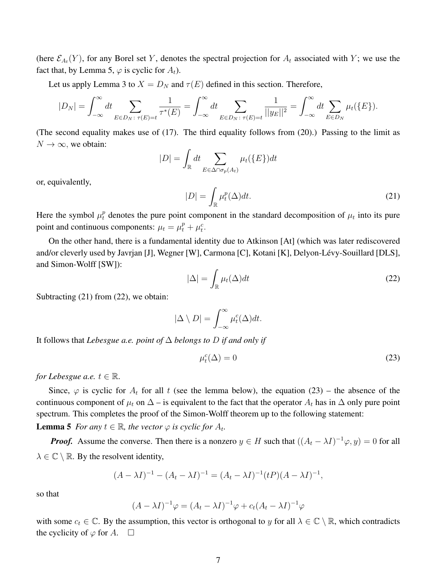(here  $\mathcal{E}_{A_t}(Y)$ , for any Borel set Y, denotes the spectral projection for  $A_t$  associated with Y; we use the fact that, by Lemma 5,  $\varphi$  is cyclic for  $A_t$ ).

Let us apply Lemma 3 to  $X = D_N$  and  $\tau(E)$  defined in this section. Therefore,

$$
|D_N| = \int_{-\infty}^{\infty} dt \sum_{E \in D_N: \ \tau(E) = t} \frac{1}{\tau^*(E)} = \int_{-\infty}^{\infty} dt \sum_{E \in D_N: \ \tau(E) = t} \frac{1}{||y_E||^2} = \int_{-\infty}^{\infty} dt \sum_{E \in D_N} \mu_t(\{E\}).
$$

(The second equality makes use of (17). The third equality follows from (20).) Passing to the limit as  $N \to \infty$ , we obtain:

$$
|D| = \int_{\mathbb{R}} dt \sum_{E \in \Delta \cap \sigma_p(A_t)} \mu_t(\lbrace E \rbrace) dt
$$

or, equivalently,

$$
|D| = \int_{\mathbb{R}} \mu_t^p(\Delta) dt.
$$
 (21)

Here the symbol  $\mu_t^p$  denotes the pure point component in the standard decomposition of  $\mu_t$  into its pure point and continuous components:  $\mu_t = \mu_t^p + \mu_t^c$ .

On the other hand, there is a fundamental identity due to Atkinson [At] (which was later rediscovered and/or cleverly used by Javrjan [J], Wegner [W], Carmona [C], Kotani [K], Delyon-Lévy-Souillard [DLS], and Simon-Wolff [SW]):

$$
|\Delta| = \int_{\mathbb{R}} \mu_t(\Delta) dt
$$
 (22)

Subtracting (21) from (22), we obtain:

$$
|\Delta \setminus D| = \int_{-\infty}^{\infty} \mu_t^c(\Delta) dt.
$$

It follows that *Lebesgue a.e. point of* ∆ *belongs to* D *if and only if*

$$
\mu_t^c(\Delta) = 0 \tag{23}
$$

*for Lebesgue a.e.*  $t \in \mathbb{R}$ *.* 

Since,  $\varphi$  is cyclic for  $A_t$  for all t (see the lemma below), the equation (23) – the absence of the continuous component of  $\mu_t$  on  $\Delta$  – is equivalent to the fact that the operator  $A_t$  has in  $\Delta$  only pure point spectrum. This completes the proof of the Simon-Wolff theorem up to the following statement:

**Lemma 5** *For any*  $t \in \mathbb{R}$ *, the vector*  $\varphi$  *is cyclic for*  $A_t$ *.* 

*Proof.* Assume the converse. Then there is a nonzero  $y \in H$  such that  $((A_t - \lambda I)^{-1} \varphi, y) = 0$  for all  $\lambda \in \mathbb{C} \setminus \mathbb{R}$ . By the resolvent identity,

$$
(A - \lambda I)^{-1} - (A_t - \lambda I)^{-1} = (A_t - \lambda I)^{-1} (tP)(A - \lambda I)^{-1},
$$

so that

$$
(A - \lambda I)^{-1} \varphi = (A_t - \lambda I)^{-1} \varphi + c_t (A_t - \lambda I)^{-1} \varphi
$$

with some  $c_t \in \mathbb{C}$ . By the assumption, this vector is orthogonal to y for all  $\lambda \in \mathbb{C} \setminus \mathbb{R}$ , which contradicts the cyclicity of  $\varphi$  for A.  $\square$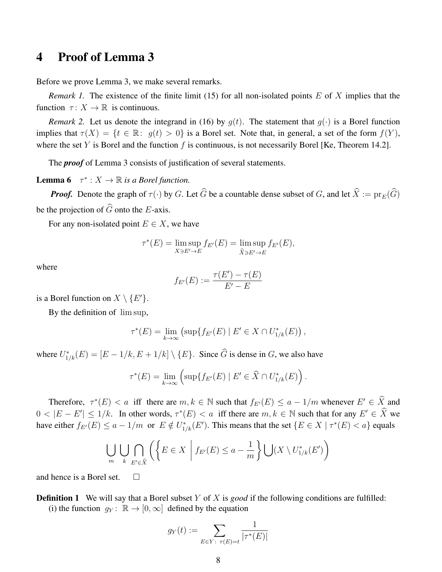### 4 Proof of Lemma 3

Before we prove Lemma 3, we make several remarks.

*Remark 1.* The existence of the finite limit (15) for all non-isolated points E of X implies that the function  $\tau: X \to \mathbb{R}$  is continuous.

*Remark 2.* Let us denote the integrand in (16) by  $g(t)$ . The statement that  $g(\cdot)$  is a Borel function implies that  $\tau(X) = \{t \in \mathbb{R} : g(t) > 0\}$  is a Borel set. Note that, in general, a set of the form  $f(Y)$ , where the set Y is Borel and the function f is continuous, is not necessarily Borel [Ke, Theorem 14.2].

The *proof* of Lemma 3 consists of justification of several statements.

**Lemma 6**  $\tau^*: X \to \mathbb{R}$  is a Borel function.

*Proof.* Denote the graph of  $\tau(\cdot)$  by G. Let  $\widehat{G}$  be a countable dense subset of G, and let  $\widehat{X} := \text{pr}_E(\widehat{G})$ be the projection of  $\widehat{G}$  onto the E-axis.

For any non-isolated point  $E \in X$ , we have

$$
\tau^*(E) = \limsup_{X \ni E' \to E} f_{E'}(E) = \limsup_{\widehat{X} \ni E' \to E} f_{E'}(E),
$$

where

$$
f_{E'}(E) := \frac{\tau(E') - \tau(E)}{E' - E}
$$

is a Borel function on  $X \setminus \{E'\}.$ 

By the definition of lim sup,

$$
\tau^*(E) = \lim_{k \to \infty} \left( \sup \{ f_{E'}(E) \mid E' \in X \cap U^*_{1/k}(E) \right),
$$

where  $U_{1/k}^*(E) = [E - 1/k, E + 1/k] \setminus \{E\}$ . Since  $\widehat{G}$  is dense in G, we also have

$$
\tau^*(E) = \lim_{k \to \infty} \left( \sup \{ f_{E'}(E) \mid E' \in \widehat{X} \cap U^*_{1/k}(E) \right).
$$

Therefore,  $\tau^*(E) < a$  iff there are  $m, k \in \mathbb{N}$  such that  $f_{E'}(E) \le a - 1/m$  whenever  $E' \in \widehat{X}$  and  $0 < |E - E'| \le 1/k$ . In other words,  $\tau^*(E) < a$  iff there are  $m, k \in \mathbb{N}$  such that for any  $E' \in \hat{X}$  we have either  $f_{E'}(E) \le a - 1/m$  or  $E \notin U^*_{1/k}(E')$ . This means that the set  $\{E \in X \mid \tau^*(E) < a\}$  equals

$$
\bigcup_{m} \bigcup_{k} \bigcap_{E' \in \hat{X}} \left( \left\{ E \in X \mid f_{E'}(E) \le a - \frac{1}{m} \right\} \bigcup (X \setminus U^*_{1/k}(E') \right)
$$

and hence is a Borel set.  $\square$ 

**Definition 1** We will say that a Borel subset Y of X is good if the following conditions are fulfilled: (i) the function  $g_Y: \mathbb{R} \to [0,\infty]$  defined by the equation

$$
g_Y(t):=\sum_{E\in Y\colon\, \tau(E)=t}\frac{1}{|\tau^*(E)|}
$$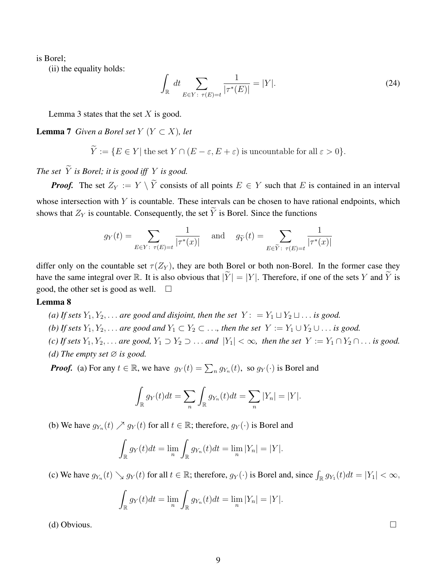is Borel;

(ii) the equality holds:

$$
\int_{\mathbb{R}} dt \sum_{E \in Y: \ \tau(E) = t} \frac{1}{|\tau^*(E)|} = |Y|.
$$
\n(24)

Lemma 3 states that the set  $X$  is good.

#### **Lemma 7** *Given a Borel set*  $Y$  ( $Y \subset X$ )*, let*

$$
\tilde{Y} := \{ E \in Y | \text{ the set } Y \cap (E - \varepsilon, E + \varepsilon) \text{ is uncountable for all } \varepsilon > 0 \}.
$$

*The set*  $\widetilde{Y}$  *is Borel; it is good iff*  $Y$  *is good.* 

*Proof.* The set  $Z_Y := Y \setminus \widetilde{Y}$  consists of all points  $E \in Y$  such that E is contained in an interval whose intersection with  $Y$  is countable. These intervals can be chosen to have rational endpoints, which shows that  $Z_Y$  is countable. Consequently, the set  $\widetilde{Y}$  is Borel. Since the functions

$$
g_Y(t) = \sum_{E \in Y \colon \tau(E) = t} \frac{1}{|\tau^*(x)|} \quad \text{and} \quad g_{\widetilde{Y}}(t) = \sum_{E \in \widetilde{Y} \colon \tau(E) = t} \frac{1}{|\tau^*(x)|}
$$

differ only on the countable set  $\tau(Z_Y)$ , they are both Borel or both non-Borel. In the former case they have the same integral over R. It is also obvious that  $|\tilde{Y}| = |Y|$ . Therefore, if one of the sets Y and  $\tilde{Y}$  is good, the other set is good as well.  $\square$ good, the other set is good as well.

### Lemma 8

*(a) If sets*  $Y_1, Y_2, \ldots$  *are good and disjoint, then the set*  $Y: = Y_1 \sqcup Y_2 \sqcup \ldots$  *is good.* 

- *(b) If sets*  $Y_1, Y_2, \ldots$  *are good and*  $Y_1 \subset Y_2 \subset \ldots$ *, then the set*  $Y := Y_1 \cup Y_2 \cup \ldots$  *is good.*
- *(c) If sets*  $Y_1, Y_2, \ldots$  *are good,*  $Y_1 \supset Y_2 \supset \ldots$  *and*  $|Y_1| < \infty$ *, then the set*  $Y := Y_1 \cap Y_2 \cap \ldots$  *is good. (d)* The empty set  $\varnothing$  *is good.*

*Proof.* (a) For any  $t \in \mathbb{R}$ , we have  $g_Y(t) = \sum_n g_{Y_n}(t)$ , so  $g_Y(\cdot)$  is Borel and

$$
\int_{\mathbb{R}} g_Y(t)dt = \sum_n \int_{\mathbb{R}} g_{Y_n}(t)dt = \sum_n |Y_n| = |Y|.
$$

(b) We have  $g_{Y_n}(t) \nearrow g_Y(t)$  for all  $t \in \mathbb{R}$ ; therefore,  $g_Y(\cdot)$  is Borel and

$$
\int_{\mathbb{R}} g_Y(t)dt = \lim_{n} \int_{\mathbb{R}} g_{Y_n}(t)dt = \lim_{n} |Y_n| = |Y|.
$$

(c) We have  $g_{Y_n}(t) \searrow g_Y(t)$  for all  $t \in \mathbb{R}$ ; therefore,  $g_Y(\cdot)$  is Borel and, since  $\int_{\mathbb{R}} g_{Y_1}(t) dt = |Y_1| < \infty$ ,

$$
\int_{\mathbb{R}} g_Y(t)dt = \lim_{n} \int_{\mathbb{R}} g_{Y_n}(t)dt = \lim_{n} |Y_n| = |Y|.
$$

(d) Obvious.  $\Box$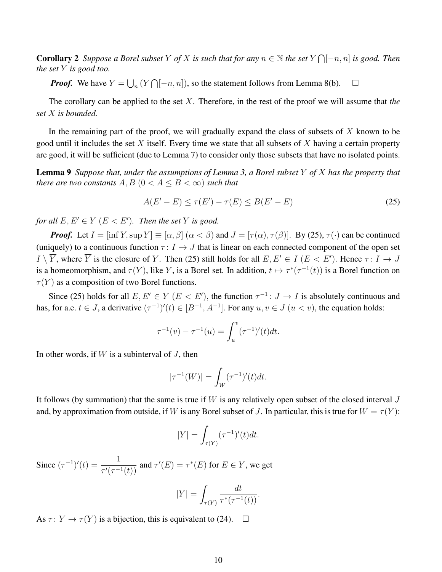**Corollary 2** Suppose a Borel subset Y of X is such that for any  $n \in \mathbb{N}$  the set  $Y \cap [-n, n]$  is good. Then *the set* Y *is good too.*

*Proof.* We have  $Y = \bigcup_n (Y \cap [-n, n])$ , so the statement follows from Lemma 8(b).  $\Box$ 

The corollary can be applied to the set X. Therefore, in the rest of the proof we will assume that *the set* X *is bounded.*

In the remaining part of the proof, we will gradually expand the class of subsets of  $X$  known to be good until it includes the set  $X$  itself. Every time we state that all subsets of  $X$  having a certain property are good, it will be sufficient (due to Lemma 7) to consider only those subsets that have no isolated points.

Lemma 9 *Suppose that, under the assumptions of Lemma 3, a Borel subset* Y *of* X *has the property that there are two constants*  $A, B$  ( $0 < A \leq B < \infty$ ) *such that* 

$$
A(E'-E) \le \tau(E') - \tau(E) \le B(E'-E)
$$
\n(25)

*for all*  $E, E' \in Y$   $(E < E')$ *. Then the set* Y *is good.* 

*Proof.* Let  $I = [\inf Y, \sup Y] \equiv [\alpha, \beta]$   $(\alpha < \beta)$  and  $J = [\tau(\alpha), \tau(\beta)]$ . By (25),  $\tau(\cdot)$  can be continued (uniquely) to a continuous function  $\tau: I \to J$  that is linear on each connected component of the open set  $I \setminus \overline{Y}$ , where  $\overline{Y}$  is the closure of Y. Then (25) still holds for all  $E, E' \in I$  ( $E < E'$ ). Hence  $\tau: I \to J$ is a homeomorphism, and  $\tau(Y)$ , like Y, is a Borel set. In addition,  $t \mapsto \tau^*(\tau^{-1}(t))$  is a Borel function on  $\tau(Y)$  as a composition of two Borel functions.

Since (25) holds for all  $E, E' \in Y$  ( $E < E'$ ), the function  $\tau^{-1}: J \to I$  is absolutely continuous and has, for a.e.  $t \in J$ , a derivative  $(\tau^{-1})'(t) \in [B^{-1}, A^{-1}]$ . For any  $u, v \in J$   $(u < v)$ , the equation holds:

$$
\tau^{-1}(v) - \tau^{-1}(u) = \int_u^v (\tau^{-1})'(t)dt.
$$

In other words, if  $W$  is a subinterval of  $J$ , then

$$
|\tau^{-1}(W)| = \int_W (\tau^{-1})'(t)dt.
$$

It follows (by summation) that the same is true if  $W$  is any relatively open subset of the closed interval  $J$ and, by approximation from outside, if W is any Borel subset of J. In particular, this is true for  $W = \tau(Y)$ :

$$
|Y| = \int_{\tau(Y)} (\tau^{-1})'(t)dt.
$$

Since  $(\tau^{-1})'(t) = \frac{1}{\sqrt{1-t^2}}$  $\frac{1}{\tau'(\tau^{-1}(t))}$  and  $\tau'(E) = \tau^*(E)$  for  $E \in Y$ , we get

$$
|Y| = \int_{\tau(Y)} \frac{dt}{\tau^*(\tau^{-1}(t))}.
$$

As  $\tau: Y \to \tau(Y)$  is a bijection, this is equivalent to (24).  $\Box$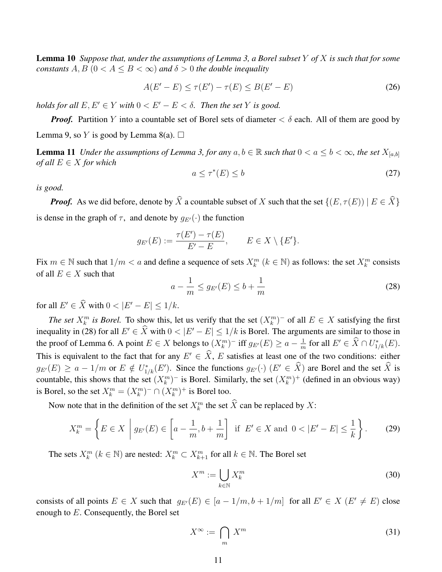Lemma 10 *Suppose that, under the assumptions of Lemma 3, a Borel subset* Y *of* X *is such that for some constants*  $A, B$  ( $0 < A < B < \infty$ ) *and*  $\delta > 0$  *the double inequality* 

$$
A(E'-E) \le \tau(E') - \tau(E) \le B(E'-E)
$$
 (26)

*holds for all*  $E, E' \in Y$  *with*  $0 < E' - E < \delta$ . *Then the set* Y *is good.* 

*Proof.* Partition Y into a countable set of Borel sets of diameter  $\lt \delta$  each. All of them are good by Lemma 9, so Y is good by Lemma 8(a).  $\Box$ 

**Lemma 11** *Under the assumptions of Lemma 3, for any*  $a, b \in \mathbb{R}$  *such that*  $0 < a \leq b < \infty$ *, the set*  $X_{[a,b]}$ *of all*  $E \in X$  *for which* 

$$
a \le \tau^*(E) \le b \tag{27}
$$

*is good.*

*Proof.* As we did before, denote by  $\widehat{X}$  a countable subset of X such that the set  $\{(E, \tau(E)) | E \in \widehat{X}\}\$ is dense in the graph of  $\tau$ , and denote by  $g_{E'}(\cdot)$  the function

$$
g_{E'}(E) := \frac{\tau(E') - \tau(E)}{E' - E}, \qquad E \in X \setminus \{E'\}.
$$

Fix  $m \in \mathbb{N}$  such that  $1/m < a$  and define a sequence of sets  $X_k^m$   $(k \in \mathbb{N})$  as follows: the set  $X_k^m$  consists of all  $E \in X$  such that

$$
a - \frac{1}{m} \le g_{E'}(E) \le b + \frac{1}{m} \tag{28}
$$

for all  $E' \in \hat{X}$  with  $0 < |E' - E| \leq 1/k$ .

*The set*  $X_k^m$  *is Borel.* To show this, let us verify that the set  $(X_k^m)^-$  of all  $E \in X$  satisfying the first inequality in (28) for all  $E' \in \hat{X}$  with  $0 < |E' - E| \le 1/k$  is Borel. The arguments are similar to those in the proof of Lemma 6. A point  $E \in X$  belongs to  $(X_k^m)^-$  iff  $g_{E'}(E) \ge a - \frac{1}{m}$  $\frac{1}{m}$  for all  $E' \in \hat{X} \cap U^*_{1/k}(E)$ . This is equivalent to the fact that for any  $E' \in \hat{X}$ , E satisfies at least one of the two conditions: either  $g_{E'}(E) \ge a - 1/m$  or  $E \notin U^*_{1/k}(E')$ . Since the functions  $g_{E'}(\cdot)$   $(E' \in \hat{X})$  are Borel and the set  $\hat{X}$  is countable, this shows that the set  $(X_k^m)^-$  is Borel. Similarly, the set  $(X_k^m)^+$  (defined in an obvious way) is Borel, so the set  $X_k^m = (X_k^m)^- \cap (X_k^m)^+$  is Borel too.

Now note that in the definition of the set  $X_k^m$  the set  $\hat{X}$  can be replaced by  $X$ :

$$
X_k^m = \left\{ E \in X \mid g_{E'}(E) \in \left[ a - \frac{1}{m}, b + \frac{1}{m} \right] \text{ if } E' \in X \text{ and } 0 < |E' - E| \le \frac{1}{k} \right\}. \tag{29}
$$

The sets  $X_k^m$   $(k \in \mathbb{N})$  are nested:  $X_k^m \subset X_{k+1}^m$  for all  $k \in \mathbb{N}$ . The Borel set

$$
X^m := \bigcup_{k \in \mathbb{N}} X_k^m \tag{30}
$$

consists of all points  $E \in X$  such that  $g_{E}(E) \in [a-1/m, b+1/m]$  for all  $E' \in X$   $(E' \neq E)$  close enough to E. Consequently, the Borel set

$$
X^{\infty} := \bigcap_{m} X^{m} \tag{31}
$$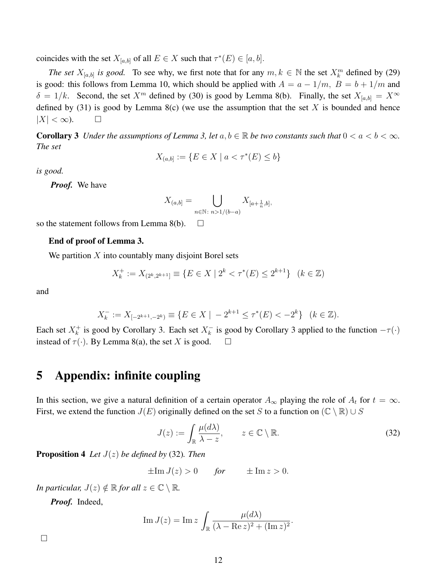coincides with the set  $X_{[a,b]}$  of all  $E \in X$  such that  $\tau^*(E) \in [a,b]$ .

*The set*  $X_{[a,b]}$  *is good.* To see why, we first note that for any  $m, k \in \mathbb{N}$  the set  $X_k^m$  defined by (29) is good: this follows from Lemma 10, which should be applied with  $A = a - 1/m$ ,  $B = b + 1/m$  and  $\delta = 1/k$ . Second, the set  $X^m$  defined by (30) is good by Lemma 8(b). Finally, the set  $X_{[a,b]} = X^{\infty}$ defined by (31) is good by Lemma 8(c) (we use the assumption that the set X is bounded and hence  $|X| < \infty$ ).  $\Box$ 

**Corollary 3** *Under the assumptions of Lemma 3, let*  $a, b \in \mathbb{R}$  *be two constants such that*  $0 < a < b < \infty$ *. The set*

$$
X_{(a,b]} := \{ E \in X \mid a < \tau^*(E) \le b \}
$$

*is good.*

*Proof.* We have

$$
X_{(a,b]} = \bigcup_{n \in \mathbb{N} \colon n > 1/(b-a)} X_{[a+\frac{1}{n},b]},
$$

so the statement follows from Lemma 8(b).  $\Box$ 

#### End of proof of Lemma 3.

We partition  $X$  into countably many disjoint Borel sets

$$
X_k^+ := X_{(2^k, 2^{k+1}]} \equiv \{ E \in X \mid 2^k < \tau^*(E) \le 2^{k+1} \} \quad (k \in \mathbb{Z})
$$

and

$$
X_k^- := X_{[-2^{k+1}, -2^k)} \equiv \{ E \in X \mid -2^{k+1} \le \tau^*(E) < -2^k \} \quad (k \in \mathbb{Z}).
$$

Each set  $X_k^+$  $k_k^+$  is good by Corollary 3. Each set  $X_k^ \overline{k}_{k}$  is good by Corollary 3 applied to the function  $-\tau(\cdot)$ instead of  $\tau(\cdot)$ . By Lemma 8(a), the set X is good.  $\square$ 

### 5 Appendix: infinite coupling

In this section, we give a natural definition of a certain operator  $A_{\infty}$  playing the role of  $A_t$  for  $t = \infty$ . First, we extend the function  $J(E)$  originally defined on the set S to a function on  $(\mathbb{C} \setminus \mathbb{R}) \cup S$ 

$$
J(z) := \int_{\mathbb{R}} \frac{\mu(d\lambda)}{\lambda - z}, \qquad z \in \mathbb{C} \setminus \mathbb{R}.
$$
 (32)

.

Proposition 4 *Let* J(z) *be defined by* (32)*. Then*

$$
\pm \operatorname{Im} J(z) > 0 \quad \text{for} \quad \pm \operatorname{Im} z > 0.
$$

*In particular,*  $J(z) \notin \mathbb{R}$  *for all*  $z \in \mathbb{C} \setminus \mathbb{R}$ *.* 

*Proof.* Indeed,

Im 
$$
J(z)
$$
 = Im  $z \int_{\mathbb{R}} \frac{\mu(d\lambda)}{(\lambda - \text{Re } z)^2 + (\text{Im } z)^2}$ 

 $\Box$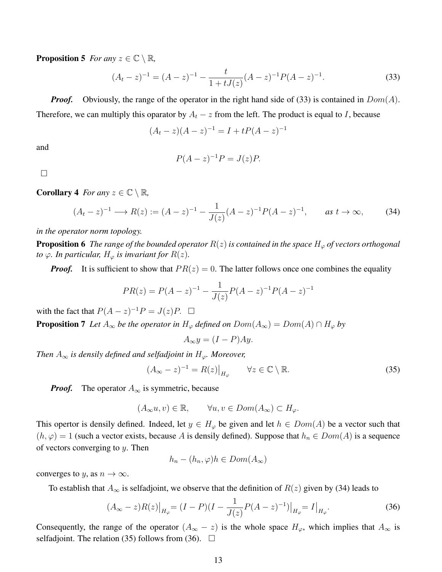**Proposition 5** *For any*  $z \in \mathbb{C} \setminus \mathbb{R}$ *,* 

$$
(At - z)-1 = (A - z)-1 - \frac{t}{1 + tJ(z)}(A - z)-1P(A - z)-1.
$$
\n(33)

*Proof.* Obviously, the range of the operator in the right hand side of (33) is contained in  $Dom(A)$ . Therefore, we can multiply this oparator by  $A_t - z$  from the left. The product is equal to I, because

$$
(A_t - z)(A - z)^{-1} = I + tP(A - z)^{-1}
$$

and

$$
P(A-z)^{-1}P = J(z)P.
$$

 $\Box$ 

**Corollary 4** *For any*  $z \in \mathbb{C} \setminus \mathbb{R}$ *,* 

$$
(A_t - z)^{-1} \longrightarrow R(z) := (A - z)^{-1} - \frac{1}{J(z)}(A - z)^{-1}P(A - z)^{-1}, \qquad \text{as } t \to \infty,
$$
 (34)

*in the operator norm topology.*

**Proposition 6** *The range of the bounded operator*  $R(z)$  *is contained in the space*  $H_{\varphi}$  *of vectors orthogonal to*  $\varphi$ *. In particular,*  $H_{\varphi}$  *is invariant for*  $R(z)$ *.* 

*Proof.* It is sufficient to show that  $PR(z) = 0$ . The latter follows once one combines the equality

$$
PR(z) = P(A - z)^{-1} - \frac{1}{J(z)}P(A - z)^{-1}P(A - z)^{-1}
$$

with the fact that  $P(A - z)^{-1}P = J(z)P$ .  $\Box$ 

**Proposition 7** *Let*  $A_{\infty}$  *be the operator in*  $H_{\varphi}$  *defined on*  $Dom(A_{\infty}) = Dom(A) \cap H_{\varphi}$  *by* 

$$
A_{\infty}y = (I - P)Ay.
$$

*Then*  $A_{\infty}$  *is densily defined and selfadjoint in*  $H_{\varphi}$ *. Moreover,* 

$$
(A_{\infty} - z)^{-1} = R(z)|_{H_{\varphi}} \qquad \forall z \in \mathbb{C} \setminus \mathbb{R}.
$$
 (35)

*Proof.* The operator  $A_{\infty}$  is symmetric, because

$$
(A_{\infty}u, v) \in \mathbb{R}, \qquad \forall u, v \in Dom(A_{\infty}) \subset H_{\varphi}.
$$

This opertor is densily defined. Indeed, let  $y \in H_{\varphi}$  be given and let  $h \in Dom(A)$  be a vector such that  $(h, \varphi) = 1$  (such a vector exists, because A is densily defined). Suppose that  $h_n \in Dom(A)$  is a sequence of vectors converging to  $y$ . Then

$$
h_n - (h_n, \varphi)h \in Dom(A_{\infty})
$$

converges to y, as  $n \to \infty$ .

To establish that  $A_{\infty}$  is selfadjoint, we observe that the definition of  $R(z)$  given by (34) leads to

$$
(A_{\infty} - z)R(z)\big|_{H_{\varphi}} = (I - P)(I - \frac{1}{J(z)}P(A - z)^{-1})\big|_{H_{\varphi}} = I\big|_{H_{\varphi}}.
$$
\n(36)

Consequently, the range of the operator  $(A_{\infty} - z)$  is the whole space  $H_{\varphi}$ , which implies that  $A_{\infty}$  is selfadjoint. The relation (35) follows from (36).  $\Box$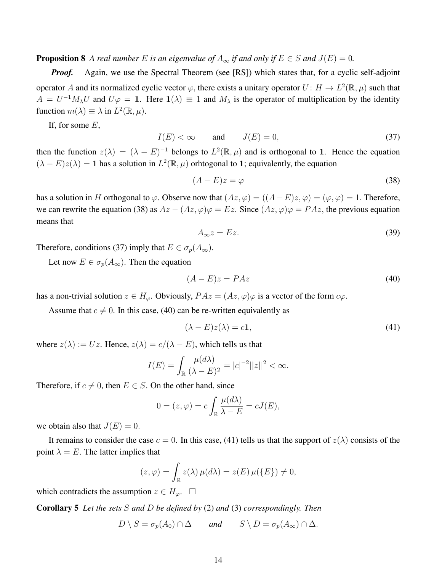**Proposition 8** A real number E is an eigenvalue of  $A_\infty$  if and only if  $E \in S$  and  $J(E) = 0$ .

*Proof.* Again, we use the Spectral Theorem (see [RS]) which states that, for a cyclic self-adjoint operator A and its normalized cyclic vector  $\varphi$ , there exists a unitary operator  $U: H \to L^2(\mathbb{R}, \mu)$  such that  $A = U^{-1}M_{\lambda}U$  and  $U\varphi = 1$ . Here  $1(\lambda) \equiv 1$  and  $M_{\lambda}$  is the operator of multiplication by the identity function  $m(\lambda) \equiv \lambda$  in  $L^2(\mathbb{R}, \mu)$ .

If, for some  $E$ ,

$$
I(E) < \infty \qquad \text{and} \qquad J(E) = 0,\tag{37}
$$

then the function  $z(\lambda) = (\lambda - E)^{-1}$  belongs to  $L^2(\mathbb{R}, \mu)$  and is orthogonal to 1. Hence the equation  $(\lambda - E)z(\lambda) = 1$  has a solution in  $L^2(\mathbb{R}, \mu)$  orhtogonal to 1; equivalently, the equation

$$
(A - E)z = \varphi \tag{38}
$$

has a solution in H orthogonal to  $\varphi$ . Observe now that  $(Az, \varphi) = ((A - E)z, \varphi) = (\varphi, \varphi) = 1$ . Therefore, we can rewrite the equation (38) as  $Az - (Az, \varphi)\varphi = Ez$ . Since  $(Az, \varphi)\varphi = PAz$ , the previous equation means that

$$
A_{\infty}z = Ez. \tag{39}
$$

Therefore, conditions (37) imply that  $E \in \sigma_p(A_\infty)$ .

Let now  $E \in \sigma_p(A_\infty)$ . Then the equation

$$
(A - E)z = PAz \tag{40}
$$

has a non-trivial solution  $z \in H_{\varphi}$ . Obviously,  $PAz = (Az, \varphi)\varphi$  is a vector of the form  $c\varphi$ .

Assume that  $c \neq 0$ . In this case, (40) can be re-written equivalently as

$$
(\lambda - E)z(\lambda) = c\mathbf{1},\tag{41}
$$

where  $z(\lambda) := Uz$ . Hence,  $z(\lambda) = c/(\lambda - E)$ , which tells us that

$$
I(E) = \int_{\mathbb{R}} \frac{\mu(d\lambda)}{(\lambda - E)^2} = |c|^{-2} ||z||^2 < \infty.
$$

Therefore, if  $c \neq 0$ , then  $E \in S$ . On the other hand, since

$$
0 = (z, \varphi) = c \int_{\mathbb{R}} \frac{\mu(d\lambda)}{\lambda - E} = cJ(E),
$$

we obtain also that  $J(E) = 0$ .

It remains to consider the case  $c = 0$ . In this case, (41) tells us that the support of  $z(\lambda)$  consists of the point  $\lambda = E$ . The latter implies that

$$
(z,\varphi) = \int_{\mathbb{R}} z(\lambda) \,\mu(d\lambda) = z(E) \,\mu(\lbrace E \rbrace) \neq 0,
$$

which contradicts the assumption  $z \in H_{\varphi}$ .  $\square$ 

Corollary 5 *Let the sets* S *and* D *be defined by* (2) *and* (3) *correspondingly. Then*

 $D \setminus S = \sigma_n(A_0) \cap \Delta$  *and*  $S \setminus D = \sigma_n(A_\infty) \cap \Delta$ .